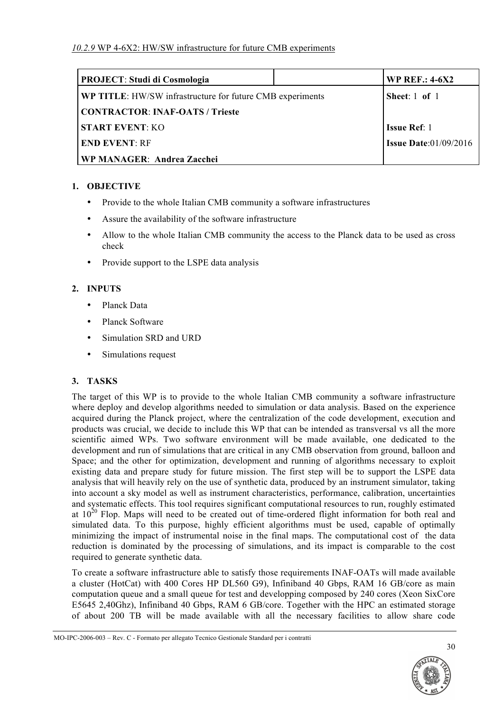| <b>PROJECT: Studi di Cosmologia</b>                              | <b>WP REF.: 4-6X2</b>           |
|------------------------------------------------------------------|---------------------------------|
| <b>WP TITLE:</b> HW/SW infrastructure for future CMB experiments | Sheet: $1$ of $1$               |
| <b>CONTRACTOR: INAF-OATS / Trieste</b>                           |                                 |
| <b>START EVENT: KO</b>                                           | <b>Issue Ref:</b> 1             |
| <b>END EVENT: RF</b>                                             | <b>Issue Date:</b> $01/09/2016$ |
| WP MANAGER: Andrea Zacchei                                       |                                 |

### **1. OBJECTIVE**

- Provide to the whole Italian CMB community a software infrastructures
- Assure the availability of the software infrastructure
- Allow to the whole Italian CMB community the access to the Planck data to be used as cross check
- Provide support to the LSPE data analysis

# **2. INPUTS**

- Planck Data
- Planck Software
- Simulation SRD and URD
- Simulations request

# **3. TASKS**

The target of this WP is to provide to the whole Italian CMB community a software infrastructure where deploy and develop algorithms needed to simulation or data analysis. Based on the experience acquired during the Planck project, where the centralization of the code development, execution and products was crucial, we decide to include this WP that can be intended as transversal vs all the more scientific aimed WPs. Two software environment will be made available, one dedicated to the development and run of simulations that are critical in any CMB observation from ground, balloon and Space; and the other for optimization, development and running of algorithms necessary to exploit existing data and prepare study for future mission. The first step will be to support the LSPE data analysis that will heavily rely on the use of synthetic data, produced by an instrument simulator, taking into account a sky model as well as instrument characteristics, performance, calibration, uncertainties and systematic effects. This tool requires significant computational resources to run, roughly estimated at  $10^{20}$  Flop. Maps will need to be created out of time-ordered flight information for both real and simulated data. To this purpose, highly efficient algorithms must be used, capable of optimally minimizing the impact of instrumental noise in the final maps. The computational cost of the data reduction is dominated by the processing of simulations, and its impact is comparable to the cost required to generate synthetic data.

To create a software infrastructure able to satisfy those requirements INAF-OATs will made available a cluster (HotCat) with 400 Cores HP DL560 G9), Infiniband 40 Gbps, RAM 16 GB/core as main computation queue and a small queue for test and developping composed by 240 cores (Xeon SixCore E5645 2,40Ghz), Infiniband 40 Gbps, RAM 6 GB/core. Together with the HPC an estimated storage of about 200 TB will be made available with all the necessary facilities to allow share code

MO-IPC-2006-003 – Rev. C - Formato per allegato Tecnico Gestionale Standard per i contratti